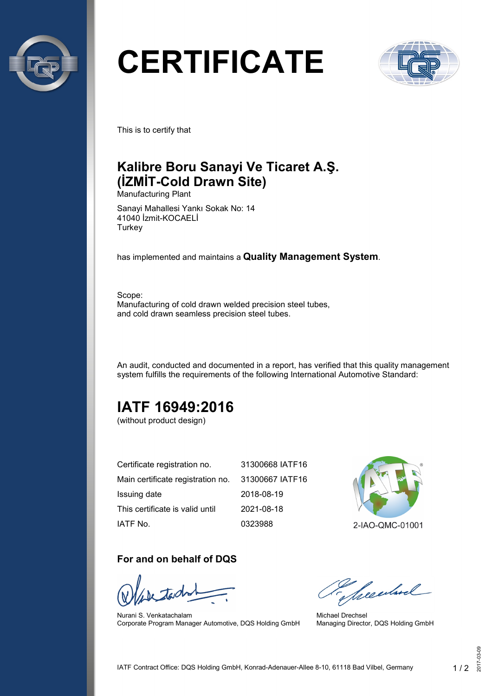

# **CERTIFICATE**



This is to certify that

## **Kalibre Boru Sanayi Ve Ticaret A.Ş. (İZMİT-Cold Drawn Site)**

Manufacturing Plant

Sanayi Mahallesi Yankı Sokak No: 14 41040 İzmit-KOCAELİ **Turkey** 

has implemented and maintains a **Quality Management System**.

Scope: Manufacturing of cold drawn welded precision steel tubes, and cold drawn seamless precision steel tubes.

An audit, conducted and documented in a report, has verified that this quality management system fulfills the requirements of the following International Automotive Standard:

## **IATF 16949:2016**

(without product design)

| Certificate registration no.                      | 31300668 IATF16 |
|---------------------------------------------------|-----------------|
| Main certificate registration no. 31300667 IATF16 |                 |
| Issuing date                                      | 2018-08-19      |
| This certificate is valid until                   | 2021-08-18      |
| IATF No.                                          | 0323988         |



#### **For and on behalf of DQS**

Nurani S. Venkatachalam Corporate Program Manager Automotive, DQS Holding GmbH

Seculard

Michael Drechsel Managing Director, DQS Holding GmbH